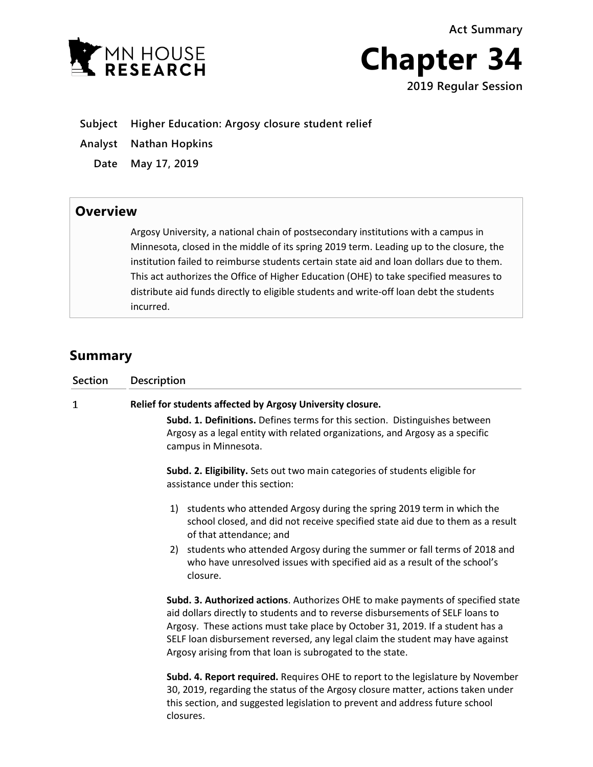**Act Summary**





**2019 Regular Session**

**Subject Higher Education: Argosy closure student relief**

- **Analyst Nathan Hopkins**
	- **Date May 17, 2019**

## **Overview**

Argosy University, a national chain of postsecondary institutions with a campus in Minnesota, closed in the middle of its spring 2019 term. Leading up to the closure, the institution failed to reimburse students certain state aid and loan dollars due to them. This act authorizes the Office of Higher Education (OHE) to take specified measures to distribute aid funds directly to eligible students and write-off loan debt the students incurred.

## **Summary**

| <b>Section</b> | Description                                                                                                                                                                                                                                                                                                                                                                                      |
|----------------|--------------------------------------------------------------------------------------------------------------------------------------------------------------------------------------------------------------------------------------------------------------------------------------------------------------------------------------------------------------------------------------------------|
| 1              | Relief for students affected by Argosy University closure.                                                                                                                                                                                                                                                                                                                                       |
|                | <b>Subd. 1. Definitions.</b> Defines terms for this section. Distinguishes between<br>Argosy as a legal entity with related organizations, and Argosy as a specific<br>campus in Minnesota.                                                                                                                                                                                                      |
|                | Subd. 2. Eligibility. Sets out two main categories of students eligible for<br>assistance under this section:                                                                                                                                                                                                                                                                                    |
|                | 1) students who attended Argosy during the spring 2019 term in which the<br>school closed, and did not receive specified state aid due to them as a result<br>of that attendance; and                                                                                                                                                                                                            |
|                | 2) students who attended Argosy during the summer or fall terms of 2018 and<br>who have unresolved issues with specified aid as a result of the school's<br>closure.                                                                                                                                                                                                                             |
|                | Subd. 3. Authorized actions. Authorizes OHE to make payments of specified state<br>aid dollars directly to students and to reverse disbursements of SELF loans to<br>Argosy. These actions must take place by October 31, 2019. If a student has a<br>SELF loan disbursement reversed, any legal claim the student may have against<br>Argosy arising from that loan is subrogated to the state. |
|                | Subd. 4. Report required. Requires OHE to report to the legislature by November<br>30, 2019, regarding the status of the Argosy closure matter, actions taken under<br>this section, and suggested legislation to prevent and address future school<br>closures.                                                                                                                                 |